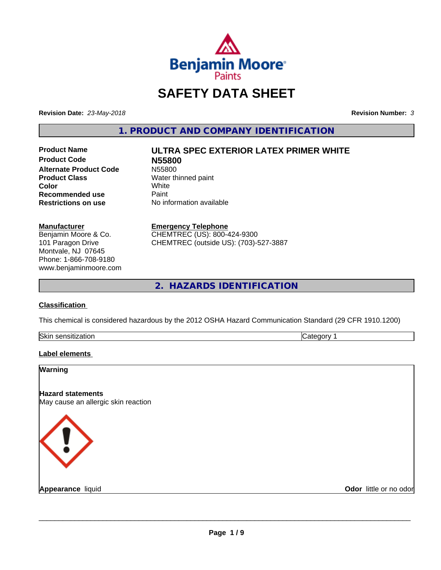

# **SAFETY DATA SHEET**

**Revision Date:** *23-May-2018* **Revision Number:** *3*

**1. PRODUCT AND COMPANY IDENTIFICATION**

**Product Code N55800 Alternate Product Code** N55800<br> **Product Class** Water th **Color** White White **Recommended use** Paint<br> **Restrictions on use** No inf

# **Product Name ULTRA SPEC EXTERIOR LATEX PRIMER WHITE**

**Water thinned paint**<br>White **Restrictions on use** No information available

#### **Manufacturer**

Benjamin Moore & Co. 101 Paragon Drive Montvale, NJ 07645 Phone: 1-866-708-9180 www.benjaminmoore.com

#### **Emergency Telephone**

CHEMTREC (US): 800-424-9300 CHEMTREC (outside US): (703)-527-3887

**2. HAZARDS IDENTIFICATION**

#### **Classification**

This chemical is considered hazardous by the 2012 OSHA Hazard Communication Standard (29 CFR 1910.1200)

| <b>Skir</b><br>.<br>- 11 | . . |
|--------------------------|-----|

#### **Label elements**

| Warning                                                         |                        |
|-----------------------------------------------------------------|------------------------|
| <b>Hazard statements</b><br>May cause an allergic skin reaction |                        |
| $\langle \, \vert \, \rangle$                                   |                        |
| <b>Appearance liquid</b>                                        | Odor little or no odor |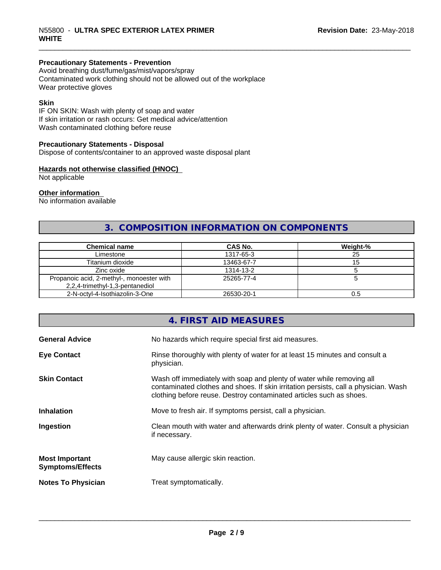#### **Precautionary Statements - Prevention**

Avoid breathing dust/fume/gas/mist/vapors/spray Contaminated work clothing should not be allowed out of the workplace Wear protective gloves

#### **Skin**

IF ON SKIN: Wash with plenty of soap and water If skin irritation or rash occurs: Get medical advice/attention Wash contaminated clothing before reuse

#### **Precautionary Statements - Disposal**

Dispose of contents/container to an approved waste disposal plant

#### **Hazards not otherwise classified (HNOC)**

Not applicable

#### **Other information**

No information available

#### **3. COMPOSITION INFORMATION ON COMPONENTS**

| <b>Chemical name</b>                                                         | <b>CAS No.</b> | Weight-% |
|------------------------------------------------------------------------------|----------------|----------|
| Limestone                                                                    | 1317-65-3      | 25       |
| Titanium dioxide                                                             | 13463-67-7     | 15       |
| Zinc oxide                                                                   | 1314-13-2      |          |
| Propanoic acid, 2-methyl-, monoester with<br>2,2,4-trimethyl-1,3-pentanediol | 25265-77-4     |          |
| 2-N-octyl-4-Isothiazolin-3-One                                               | 26530-20-1     | 0.5      |

#### **4. FIRST AID MEASURES**

| <b>General Advice</b>                            | No hazards which require special first aid measures.                                                                                                                                                                                |
|--------------------------------------------------|-------------------------------------------------------------------------------------------------------------------------------------------------------------------------------------------------------------------------------------|
| <b>Eye Contact</b>                               | Rinse thoroughly with plenty of water for at least 15 minutes and consult a<br>physician.                                                                                                                                           |
| <b>Skin Contact</b>                              | Wash off immediately with soap and plenty of water while removing all<br>contaminated clothes and shoes. If skin irritation persists, call a physician. Wash<br>clothing before reuse. Destroy contaminated articles such as shoes. |
| <b>Inhalation</b>                                | Move to fresh air. If symptoms persist, call a physician.                                                                                                                                                                           |
| Ingestion                                        | Clean mouth with water and afterwards drink plenty of water. Consult a physician<br>if necessary.                                                                                                                                   |
| <b>Most Important</b><br><b>Symptoms/Effects</b> | May cause allergic skin reaction.                                                                                                                                                                                                   |
| <b>Notes To Physician</b>                        | Treat symptomatically.                                                                                                                                                                                                              |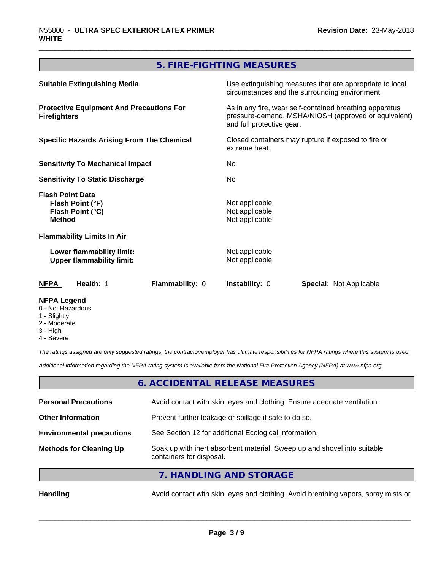#### **5. FIRE-FIGHTING MEASURES**

| <b>Suitable Extinguishing Media</b>                                              |                 |                                                                                                                                              | Use extinguishing measures that are appropriate to local<br>circumstances and the surrounding environment. |  |
|----------------------------------------------------------------------------------|-----------------|----------------------------------------------------------------------------------------------------------------------------------------------|------------------------------------------------------------------------------------------------------------|--|
| <b>Protective Equipment And Precautions For</b><br><b>Firefighters</b>           |                 | As in any fire, wear self-contained breathing apparatus<br>pressure-demand, MSHA/NIOSH (approved or equivalent)<br>and full protective gear. |                                                                                                            |  |
| <b>Specific Hazards Arising From The Chemical</b>                                |                 | Closed containers may rupture if exposed to fire or<br>extreme heat.                                                                         |                                                                                                            |  |
| <b>Sensitivity To Mechanical Impact</b>                                          |                 | No.                                                                                                                                          |                                                                                                            |  |
| <b>Sensitivity To Static Discharge</b>                                           |                 | No.                                                                                                                                          |                                                                                                            |  |
| <b>Flash Point Data</b><br>Flash Point (°F)<br>Flash Point (°C)<br><b>Method</b> |                 | Not applicable<br>Not applicable<br>Not applicable                                                                                           |                                                                                                            |  |
| <b>Flammability Limits In Air</b>                                                |                 |                                                                                                                                              |                                                                                                            |  |
| Lower flammability limit:<br><b>Upper flammability limit:</b>                    |                 | Not applicable<br>Not applicable                                                                                                             |                                                                                                            |  |
| NFPA<br>Health: 1                                                                | Flammability: 0 | <b>Instability: 0</b>                                                                                                                        | <b>Special: Not Applicable</b>                                                                             |  |
| <b>NFPA Legend</b>                                                               |                 |                                                                                                                                              |                                                                                                            |  |

- 0 Not Hazardous
- 1 Slightly
- 2 Moderate
- 3 High
- 4 Severe

*The ratings assigned are only suggested ratings, the contractor/employer has ultimate responsibilities for NFPA ratings where this system is used.*

*Additional information regarding the NFPA rating system is available from the National Fire Protection Agency (NFPA) at www.nfpa.org.*

#### **6. ACCIDENTAL RELEASE MEASURES**

| <b>Personal Precautions</b>      | Avoid contact with skin, eyes and clothing. Ensure adequate ventilation.                             |
|----------------------------------|------------------------------------------------------------------------------------------------------|
| <b>Other Information</b>         | Prevent further leakage or spillage if safe to do so.                                                |
| <b>Environmental precautions</b> | See Section 12 for additional Ecological Information.                                                |
| <b>Methods for Cleaning Up</b>   | Soak up with inert absorbent material. Sweep up and shovel into suitable<br>containers for disposal. |
|                                  |                                                                                                      |

**7. HANDLING AND STORAGE**

Handling **Handling** Avoid contact with skin, eyes and clothing. Avoid breathing vapors, spray mists or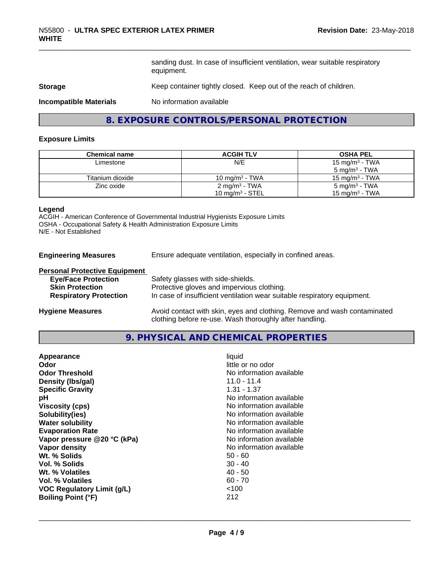sanding dust. In case of insufficient ventilation, wear suitable respiratory equipment.

#### **Storage** Keep container tightly closed. Keep out of the reach of children.

**Incompatible Materials** No information available

#### **8. EXPOSURE CONTROLS/PERSONAL PROTECTION**

#### **Exposure Limits**

| <b>Chemical name</b> | <b>ACGIH TLV</b>           | <b>OSHA PEL</b>           |
|----------------------|----------------------------|---------------------------|
| Limestone            | N/E                        | 15 mg/m $3$ - TWA         |
|                      |                            | $5 \text{ mg/m}^3$ - TWA  |
| Titanium dioxide     | 10 mg/m <sup>3</sup> - TWA | 15 mg/m $3$ - TWA         |
| Zinc oxide           | $2 \text{ mg/m}^3$ - TWA   | 5 mg/m <sup>3</sup> - TWA |
|                      | 10 mg/m $3$ - STEL         | 15 mg/m $3$ - TWA         |

#### **Legend**

ACGIH - American Conference of Governmental Industrial Hygienists Exposure Limits OSHA - Occupational Safety & Health Administration Exposure Limits N/E - Not Established

**Engineering Measures** Ensure adequate ventilation, especially in confined areas.

#### **Personal Protective Equipment**

| <b>Eye/Face Protection</b>    | Safety glasses with side-shields.                                        |
|-------------------------------|--------------------------------------------------------------------------|
| <b>Skin Protection</b>        | Protective gloves and impervious clothing.                               |
| <b>Respiratory Protection</b> | In case of insufficient ventilation wear suitable respiratory equipment. |
| <b>Hygiene Measures</b>       | Avoid contact with skin, eyes and clothing. Remove and wash contaminated |

# **9. PHYSICAL AND CHEMICAL PROPERTIES**

clothing before re-use. Wash thoroughly after handling.

| liquid<br>little or no odor<br>No information available<br>$11.0 - 11.4$<br>$1.31 - 1.37$<br>No information available<br>No information available<br>No information available<br>No information available<br>No information available<br>No information available<br>No information available<br>$50 - 60$<br>$30 - 40$<br>$40 - 50$<br>$60 - 70$ |
|---------------------------------------------------------------------------------------------------------------------------------------------------------------------------------------------------------------------------------------------------------------------------------------------------------------------------------------------------|
| ~100<br>212                                                                                                                                                                                                                                                                                                                                       |
|                                                                                                                                                                                                                                                                                                                                                   |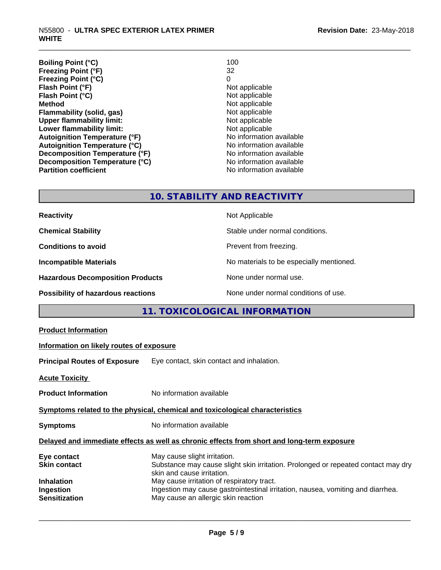| <b>Boiling Point (°C)</b>            | 100                      |
|--------------------------------------|--------------------------|
| <b>Freezing Point (°F)</b>           | 32                       |
| <b>Freezing Point (°C)</b>           | 0                        |
| Flash Point (°F)                     | Not applicable           |
| Flash Point (°C)                     | Not applicable           |
| <b>Method</b>                        | Not applicable           |
| Flammability (solid, gas)            | Not applicable           |
| <b>Upper flammability limit:</b>     | Not applicable           |
| Lower flammability limit:            | Not applicable           |
| <b>Autoignition Temperature (°F)</b> | No information available |
| <b>Autoignition Temperature (°C)</b> | No information available |
| Decomposition Temperature (°F)       | No information available |
| Decomposition Temperature (°C)       | No information available |
| <b>Partition coefficient</b>         | No information available |

#### **10. STABILITY AND REACTIVITY**

| <b>Reactivity</b>                         | Not Applicable                           |
|-------------------------------------------|------------------------------------------|
| <b>Chemical Stability</b>                 | Stable under normal conditions.          |
| <b>Conditions to avoid</b>                | Prevent from freezing.                   |
| <b>Incompatible Materials</b>             | No materials to be especially mentioned. |
| <b>Hazardous Decomposition Products</b>   | None under normal use.                   |
| <b>Possibility of hazardous reactions</b> | None under normal conditions of use.     |

### **11. TOXICOLOGICAL INFORMATION**

| <b>Product Information</b>                                                                                                                                                                                                     |
|--------------------------------------------------------------------------------------------------------------------------------------------------------------------------------------------------------------------------------|
| Information on likely routes of exposure                                                                                                                                                                                       |
| Eye contact, skin contact and inhalation.<br><b>Principal Routes of Exposure</b>                                                                                                                                               |
| <b>Acute Toxicity</b>                                                                                                                                                                                                          |
| No information available<br><b>Product Information</b>                                                                                                                                                                         |
| Symptoms related to the physical, chemical and toxicological characteristics                                                                                                                                                   |
| No information available<br><b>Symptoms</b>                                                                                                                                                                                    |
| Delayed and immediate effects as well as chronic effects from short and long-term exposure                                                                                                                                     |
| May cause slight irritation.<br>Eye contact<br>Substance may cause slight skin irritation. Prolonged or repeated contact may dry<br><b>Skin contact</b><br>skin and cause irritation.                                          |
| <b>Inhalation</b><br>May cause irritation of respiratory tract.<br>Ingestion may cause gastrointestinal irritation, nausea, vomiting and diarrhea.<br>Ingestion<br><b>Sensitization</b><br>May cause an allergic skin reaction |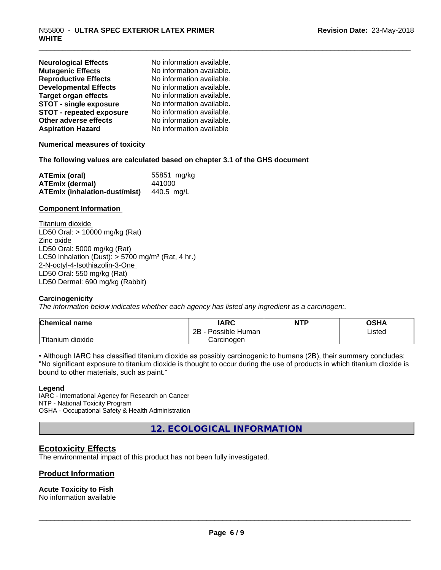| <b>Neurological Effects</b>     | No information available. |
|---------------------------------|---------------------------|
| <b>Mutagenic Effects</b>        | No information available. |
| <b>Reproductive Effects</b>     | No information available. |
| <b>Developmental Effects</b>    | No information available. |
| <b>Target organ effects</b>     | No information available. |
| <b>STOT - single exposure</b>   | No information available. |
| <b>STOT - repeated exposure</b> | No information available. |
| Other adverse effects           | No information available. |
| <b>Aspiration Hazard</b>        | No information available  |

#### **Numerical measures of toxicity**

#### **The following values are calculated based on chapter 3.1 of the GHS document**

| <b>ATEmix (oral)</b>                 | 55851 mg/kg |
|--------------------------------------|-------------|
| <b>ATEmix (dermal)</b>               | 441000      |
| <b>ATEmix (inhalation-dust/mist)</b> | 440.5 ma/L  |

#### **Component Information**

Titanium dioxide LD50 Oral: > 10000 mg/kg (Rat) Zinc oxide LD50 Oral: 5000 mg/kg (Rat) LC50 Inhalation (Dust):  $> 5700$  mg/m<sup>3</sup> (Rat, 4 hr.) 2-N-octyl-4-Isothiazolin-3-One LD50 Oral: 550 mg/kg (Rat) LD50 Dermal: 690 mg/kg (Rabbit)

#### **Carcinogenicity**

*The information below indicateswhether each agency has listed any ingredient as a carcinogen:.*

| <b>Chemical</b><br>name             | <b>IARC</b>                      | <b>NTP</b> | <b>OCUA</b><br>⊣הכ∪ |
|-------------------------------------|----------------------------------|------------|---------------------|
|                                     | . .<br>2B<br>Possible<br>· Human |            | Listed              |
| $-1$<br>. dioxide<br><b>itanium</b> | Carcinogen                       |            |                     |

• Although IARC has classified titanium dioxide as possibly carcinogenic to humans (2B), their summary concludes: "No significant exposure to titanium dioxide is thought to occur during the use of products in which titanium dioxide is bound to other materials, such as paint."

#### **Legend**

IARC - International Agency for Research on Cancer NTP - National Toxicity Program OSHA - Occupational Safety & Health Administration

**12. ECOLOGICAL INFORMATION**

#### **Ecotoxicity Effects**

The environmental impact of this product has not been fully investigated.

#### **Product Information**

#### **Acute Toxicity to Fish**

No information available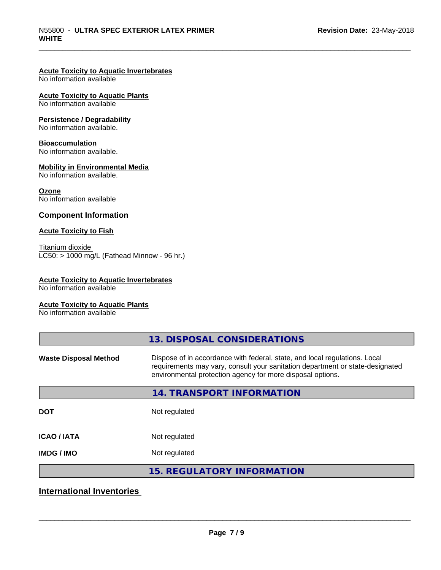#### **Acute Toxicity to Aquatic Invertebrates**

No information available

#### **Acute Toxicity to Aquatic Plants**

No information available

#### **Persistence / Degradability**

No information available.

#### **Bioaccumulation**

No information available.

#### **Mobility in Environmental Media**

No information available.

#### **Ozone**

No information available

#### **Component Information**

#### **Acute Toxicity to Fish**

Titanium dioxide  $LC50:$  > 1000 mg/L (Fathead Minnow - 96 hr.)

#### **Acute Toxicity to Aquatic Invertebrates**

No information available

#### **Acute Toxicity to Aquatic Plants**

No information available

|                              | 13. DISPOSAL CONSIDERATIONS                                                                                                                                                                                               |
|------------------------------|---------------------------------------------------------------------------------------------------------------------------------------------------------------------------------------------------------------------------|
| <b>Waste Disposal Method</b> | Dispose of in accordance with federal, state, and local regulations. Local<br>requirements may vary, consult your sanitation department or state-designated<br>environmental protection agency for more disposal options. |
|                              | <b>14. TRANSPORT INFORMATION</b>                                                                                                                                                                                          |
| <b>DOT</b>                   | Not regulated                                                                                                                                                                                                             |
| <b>ICAO/IATA</b>             | Not regulated                                                                                                                                                                                                             |
| <b>IMDG/IMO</b>              | Not regulated                                                                                                                                                                                                             |
|                              | <b>15. REGULATORY INFORMATION</b>                                                                                                                                                                                         |

#### **International Inventories**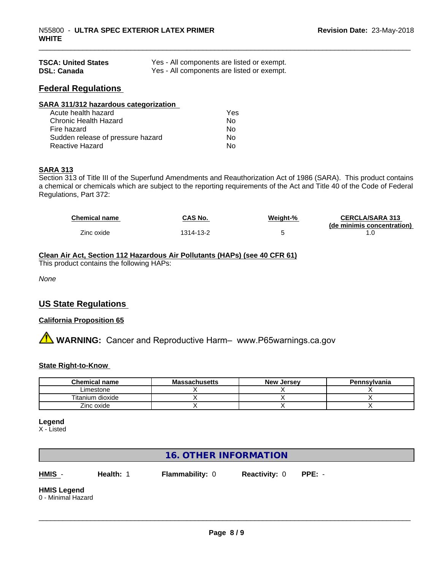| <b>TSCA: United States</b> | Yes - All components are listed or exempt. |
|----------------------------|--------------------------------------------|
| <b>DSL: Canada</b>         | Yes - All components are listed or exempt. |

#### **Federal Regulations**

| SARA 311/312 hazardous categorization |     |  |
|---------------------------------------|-----|--|
| Acute health hazard                   | Yes |  |
| Chronic Health Hazard                 | No  |  |
| Fire hazard                           | No  |  |
| Sudden release of pressure hazard     | No  |  |
| Reactive Hazard                       | No  |  |

#### **SARA 313**

Section 313 of Title III of the Superfund Amendments and Reauthorization Act of 1986 (SARA). This product contains a chemical or chemicals which are subject to the reporting requirements of the Act and Title 40 of the Code of Federal Regulations, Part 372:

| <b>Chemical name</b> | <b>CAS No.</b> | Weiaht-% | <b>CERCLA/SARA 313</b>     |
|----------------------|----------------|----------|----------------------------|
|                      |                |          | (de minimis concentration) |
| Zinc oxide           | 1314-13-2      |          |                            |

#### **Clean Air Act,Section 112 Hazardous Air Pollutants (HAPs) (see 40 CFR 61)**

This product contains the following HAPs:

*None*

#### **US State Regulations**

#### **California Proposition 65**

## **A WARNING:** Cancer and Reproductive Harm– www.P65warnings.ca.gov

#### **State Right-to-Know**

| <b>Chemical</b><br>∖name | . .<br>Massachusetts | New<br>. Jersev | Pennsylvania |
|--------------------------|----------------------|-----------------|--------------|
| Limestone                |                      |                 |              |
| dioxide<br>Titanium.     |                      |                 |              |
| 'inc oxide<br>∠⊞IC       |                      |                 |              |

#### **Legend**

X - Listed

#### **16. OTHER INFORMATION**

**HMIS** - **Health:** 1 **Flammability:** 0 **Reactivity:** 0 **PPE:** -

 $\overline{\phantom{a}}$  ,  $\overline{\phantom{a}}$  ,  $\overline{\phantom{a}}$  ,  $\overline{\phantom{a}}$  ,  $\overline{\phantom{a}}$  ,  $\overline{\phantom{a}}$  ,  $\overline{\phantom{a}}$  ,  $\overline{\phantom{a}}$  ,  $\overline{\phantom{a}}$  ,  $\overline{\phantom{a}}$  ,  $\overline{\phantom{a}}$  ,  $\overline{\phantom{a}}$  ,  $\overline{\phantom{a}}$  ,  $\overline{\phantom{a}}$  ,  $\overline{\phantom{a}}$  ,  $\overline{\phantom{a}}$ 

#### **HMIS Legend**

0 - Minimal Hazard